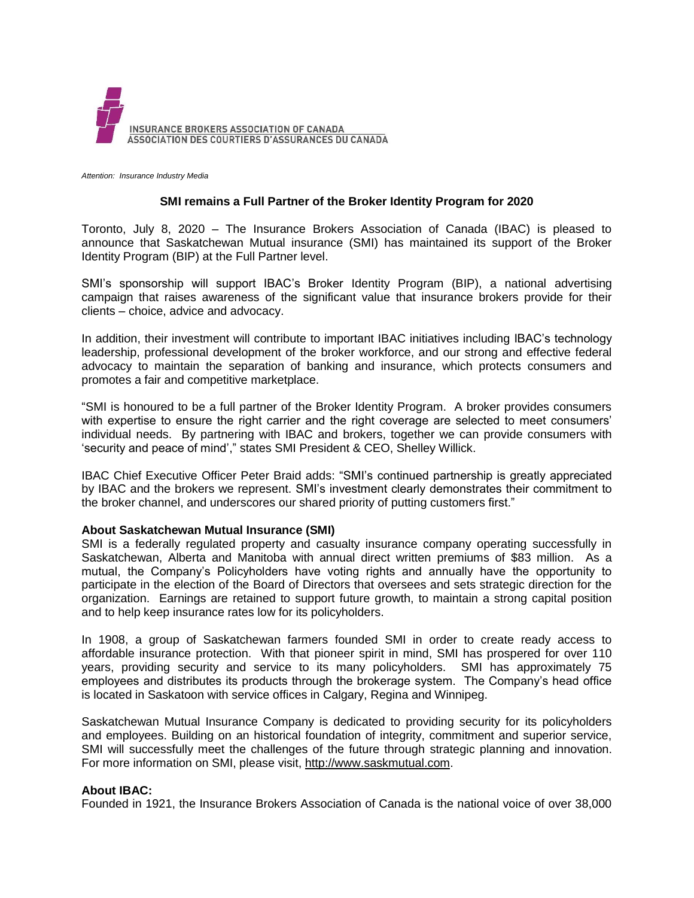

*Attention: Insurance Industry Media*

## **SMI remains a Full Partner of the Broker Identity Program for 2020**

Toronto, July 8, 2020 – The Insurance Brokers Association of Canada (IBAC) is pleased to announce that Saskatchewan Mutual insurance (SMI) has maintained its support of the Broker Identity Program (BIP) at the Full Partner level.

SMI's sponsorship will support IBAC's Broker Identity Program (BIP), a national advertising campaign that raises awareness of the significant value that insurance brokers provide for their clients – choice, advice and advocacy.

In addition, their investment will contribute to important IBAC initiatives including IBAC's technology leadership, professional development of the broker workforce, and our strong and effective federal advocacy to maintain the separation of banking and insurance, which protects consumers and promotes a fair and competitive marketplace.

"SMI is honoured to be a full partner of the Broker Identity Program. A broker provides consumers with expertise to ensure the right carrier and the right coverage are selected to meet consumers' individual needs. By partnering with IBAC and brokers, together we can provide consumers with 'security and peace of mind'," states SMI President & CEO, Shelley Willick.

IBAC Chief Executive Officer Peter Braid adds: "SMI's continued partnership is greatly appreciated by IBAC and the brokers we represent. SMI's investment clearly demonstrates their commitment to the broker channel, and underscores our shared priority of putting customers first."

## **About Saskatchewan Mutual Insurance (SMI)**

SMI is a federally regulated property and casualty insurance company operating successfully in Saskatchewan, Alberta and Manitoba with annual direct written premiums of \$83 million. As a mutual, the Company's Policyholders have voting rights and annually have the opportunity to participate in the election of the Board of Directors that oversees and sets strategic direction for the organization. Earnings are retained to support future growth, to maintain a strong capital position and to help keep insurance rates low for its policyholders.

In 1908, a group of Saskatchewan farmers founded SMI in order to create ready access to affordable insurance protection. With that pioneer spirit in mind, SMI has prospered for over 110 years, providing security and service to its many policyholders. SMI has approximately 75 employees and distributes its products through the brokerage system. The Company's head office is located in Saskatoon with service offices in Calgary, Regina and Winnipeg.

Saskatchewan Mutual Insurance Company is dedicated to providing security for its policyholders and employees. Building on an historical foundation of integrity, commitment and superior service, SMI will successfully meet the challenges of the future through strategic planning and innovation. For more information on SMI, please visit, [http://www.saskmutual.com.](http://www.saskmutual.com/)

## **About IBAC:**

Founded in 1921, the Insurance Brokers Association of Canada is the national voice of over 38,000